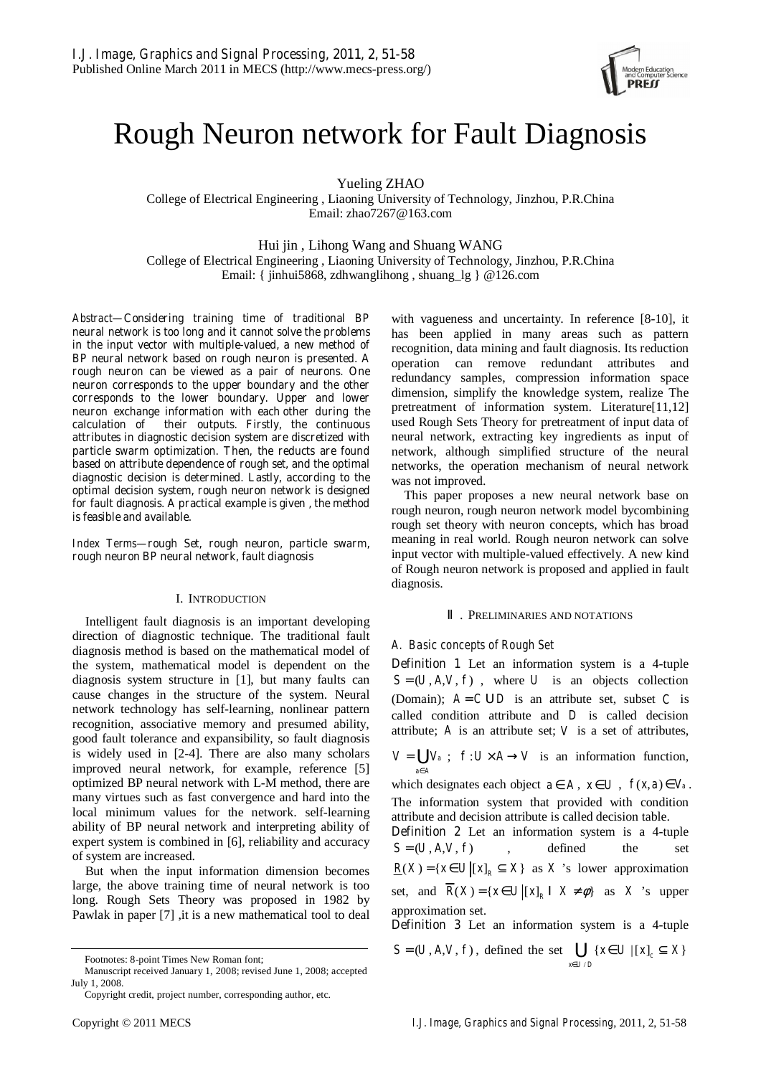

# Rough Neuron network for Fault Diagnosis

Yueling ZHAO

College of Electrical Engineering , Liaoning University of Technology, Jinzhou, P.R.China Email: zhao7267@163.com

Hui jin , Lihong Wang and Shuang WANG College of Electrical Engineering , Liaoning University of Technology, Jinzhou, P.R.China Email: { jinhui5868, zdhwanglihong , shuang\_lg } @126.com

*Abstract***—Considering training time of traditional BP neural network is too long and it cannot solve the problems in the input vector with multiple-valued, a new method of BP neural network based on rough neuron is presented. A rough neuron can be viewed as a pair of neurons. One neuron corresponds to the upper boundary and the other corresponds to the lower boundary. Upper and lower neuron exchange information with each other during the calculation of their outputs. Firstly, the continuous attributes in diagnostic decision system are discretized with particle swarm optimization. Then, the reducts are found based on attribute dependence of rough set, and the optimal diagnostic decision is determined. Lastly, according to the optimal decision system, rough neuron network is designed for fault diagnosis. A practical example is given , the method is feasible and available.** 

*Index Terms***—rough Set, rough neuron, particle swarm, rough neuron BP neural network, fault diagnosis** 

# I. INTRODUCTION

Intelligent fault diagnosis is an important developing direction of diagnostic technique. The traditional fault diagnosis method is based on the mathematical model of the system, mathematical model is dependent on the diagnosis system structure in [1], but many faults can cause changes in the structure of the system. Neural network technology has self-learning, nonlinear pattern recognition, associative memory and presumed ability, good fault tolerance and expansibility, so fault diagnosis is widely used in [2-4]. There are also many scholars improved neural network, for example, reference [5] optimized BP neural network with L-M method, there are many virtues such as fast convergence and hard into the local minimum values for the network. self-learning ability of BP neural network and interpreting ability of expert system is combined in [6], reliability and accuracy of system are increased.

But when the input information dimension becomes large, the above training time of neural network is too long. Rough Sets Theory was proposed in 1982 by Pawlak in paper [7] ,it is a new mathematical tool to deal with vagueness and uncertainty. In reference [8-10], it has been applied in many areas such as pattern recognition, data mining and fault diagnosis. Its reduction operation can remove redundant attributes and redundancy samples, compression information space dimension, simplify the knowledge system, realize The pretreatment of information system. Literature[11,12] used Rough Sets Theory for pretreatment of input data of neural network, extracting key ingredients as input of network, although simplified structure of the neural networks, the operation mechanism of neural network was not improved.

This paper proposes a new neural network base on rough neuron, rough neuron network model bycombining rough set theory with neuron concepts, which has broad meaning in real world. Rough neuron network can solve input vector with multiple-valued effectively. A new kind of Rough neuron network is proposed and applied in fault diagnosis.

## . PRELIMINARIES AND NOTATIONS

# *A. Basic concepts of Rough Set*

**Definition 1** Let an information system is a 4-tuple  $S = (U, A, V, f)$ , where *U* is an objects collection (Domain);  $A = C \cup D$  is an attribute set, subset *C* is called condition attribute and *D* is called decision attribute; *A* is an attribute set; *V* is a set of attributes,

 $V = \bigcup V_a$ ;  $f: U \times A \rightarrow V$  is an information function,  $a \in A$ ∈

which designates each object  $a \in A$ ,  $x \in U$ ,  $f(x, a) \in V_a$ . The information system that provided with condition attribute and decision attribute is called decision table.

**Definition 2** Let an information system is a 4-tuple  $S = (U, A, V, f)$ , defined the set  $\underline{R}(X) = \{ x \in U | [x]_R \subseteq X \}$  as X 's lower approximation set, and  $\overline{R}(X) = \{ x \in U | [x]_R \mid X \neq \emptyset \}$  as X 's upper approximation set.

**Definition 3** Let an information system is a 4-tuple

$$
S = (U, A, V, f), \text{ defined the set } \bigcup_{x \in U/D} \{x \in U \mid [x]_c \subseteq X\}
$$

Footnotes: 8-point Times New Roman font;

Manuscript received January 1, 2008; revised June 1, 2008; accepted July 1, 2008.

Copyright credit, project number, corresponding author, etc.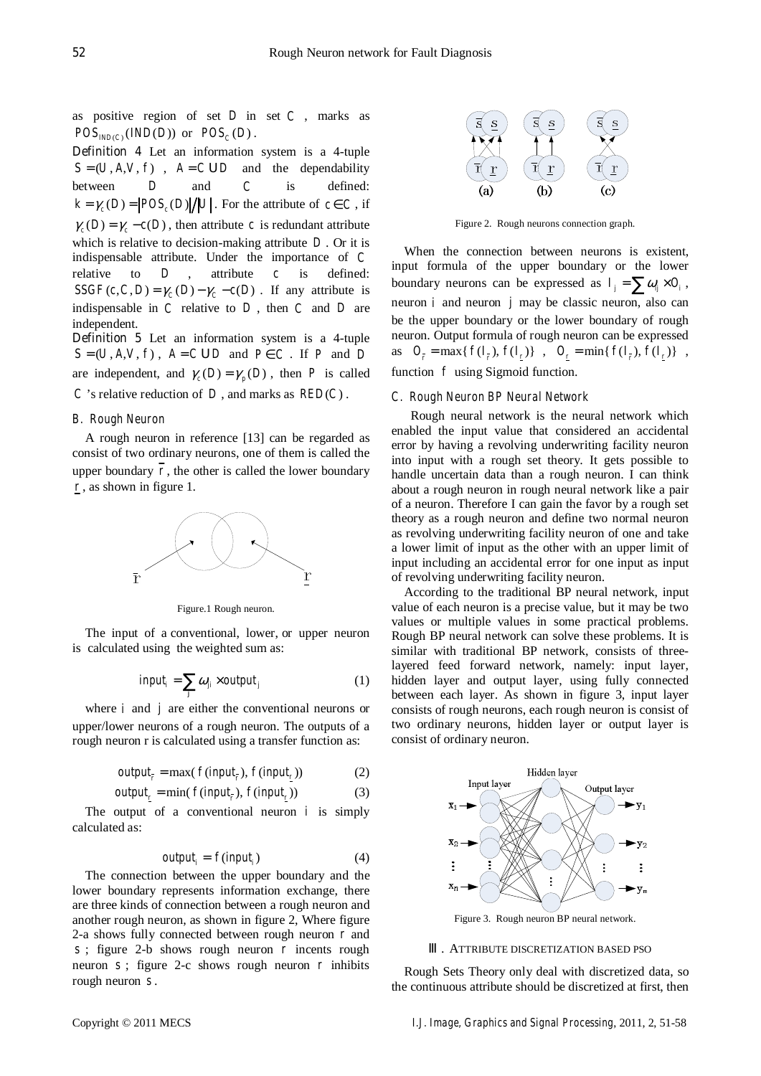as positive region of set *D* in set *C* , marks as  $POS_{NDC}(IND(D))$  or  $POS_{C}(D)$ .

**Definition 4** Let an information system is a 4-tuple  $S = (U, A, V, f)$ ,  $A = C \, \mathbf{U} \, D$  and the dependability between *D* and *C* is defined:  $k = \gamma_c(D) = \frac{POS_c(D)}{U}$ . For the attribute of  $c \in C$ , if  $\gamma_c(D) = \gamma_c - c(D)$ , then attribute *c* is redundant attribute which is relative to decision-making attribute *D* . Or it is indispensable attribute. Under the importance of *C* relative to *D* , attribute *c* is defined:  $SSGF(c, C, D) = \gamma_c(D) - \gamma_c - c(D)$ . If any attribute is indispensable in *C* relative to *D* , then *C* and *D* are independent.

**Definition 5** Let an information system is a 4-tuple  $S = (U, A, V, f)$ ,  $A = C \cup D$  and  $P \in C$ . If *P* and *D* are independent, and  $\gamma_c(D) = \gamma_n(D)$ , then *P* is called *C* 's relative reduction of *D*, and marks as  $RED(C)$ .

## *B. Rough Neuron*

A rough neuron in reference [13] can be regarded as consist of two ordinary neurons, one of them is called the upper boundary  $\overline{r}$ , the other is called the lower boundary *r* , as shown in figure 1.



Figure.1 Rough neuron.

The input of a conventional, lower, or upper neuron is calculated using the weighted sum as:

$$
input_i = \sum_j \omega_{ji} \times output_j \tag{1}
$$

where *i* and *j* are either the conventional neurons or upper/lower neurons of a rough neuron. The outputs of a rough neuron r is calculated using a transfer function as:

$$
output_{r} = \max(f(input_{r}), f(input_{r}))
$$
 (2)

$$
output_{\underline{r}} = \min(f(input_{\underline{r}}), f(input_{\underline{r}}))
$$
 (3)

The output of a conventional neuron  $i$  is simply calculated as:

$$
output_i = f(input_i) \tag{4}
$$

The connection between the upper boundary and the lower boundary represents information exchange, there are three kinds of connection between a rough neuron and another rough neuron, as shown in figure 2, Where figure 2-a shows fully connected between rough neuron *r* and *s* ; figure 2-b shows rough neuron *r* incents rough neuron *s* ; figure 2-c shows rough neuron *r* inhibits rough neuron *s* .



Figure 2. Rough neurons connection graph.

When the connection between neurons is existent, input formula of the upper boundary or the lower boundary neurons can be expressed as  $I_i = \sum \omega_i \times O_i$ , neuron *i* and neuron *j* may be classic neuron, also can be the upper boundary or the lower boundary of rough neuron. Output formula of rough neuron can be expressed as  $O_r = \max\{f(I_r), f(I_r)\}\;$ ,  $O_r = \min\{f(I_r), f(I_r)\}\;$ , function *f* using Sigmoid function.

## *C. Rough Neuron BP Neural Network*

Rough neural network is the neural network which enabled the input value that considered an accidental error by having a revolving underwriting facility neuron into input with a rough set theory. It gets possible to handle uncertain data than a rough neuron. I can think about a rough neuron in rough neural network like a pair of a neuron. Therefore I can gain the favor by a rough set theory as a rough neuron and define two normal neuron as revolving underwriting facility neuron of one and take a lower limit of input as the other with an upper limit of input including an accidental error for one input as input of revolving underwriting facility neuron.

According to the traditional BP neural network, input value of each neuron is a precise value, but it may be two values or multiple values in some practical problems. Rough BP neural network can solve these problems. It is similar with traditional BP network, consists of threelayered feed forward network, namely: input layer, hidden layer and output layer, using fully connected between each layer. As shown in figure 3, input layer consists of rough neurons, each rough neuron is consist of two ordinary neurons, hidden layer or output layer is consist of ordinary neuron.



#### . ATTRIBUTE DISCRETIZATION BASED PSO

Rough Sets Theory only deal with discretized data, so the continuous attribute should be discretized at first, then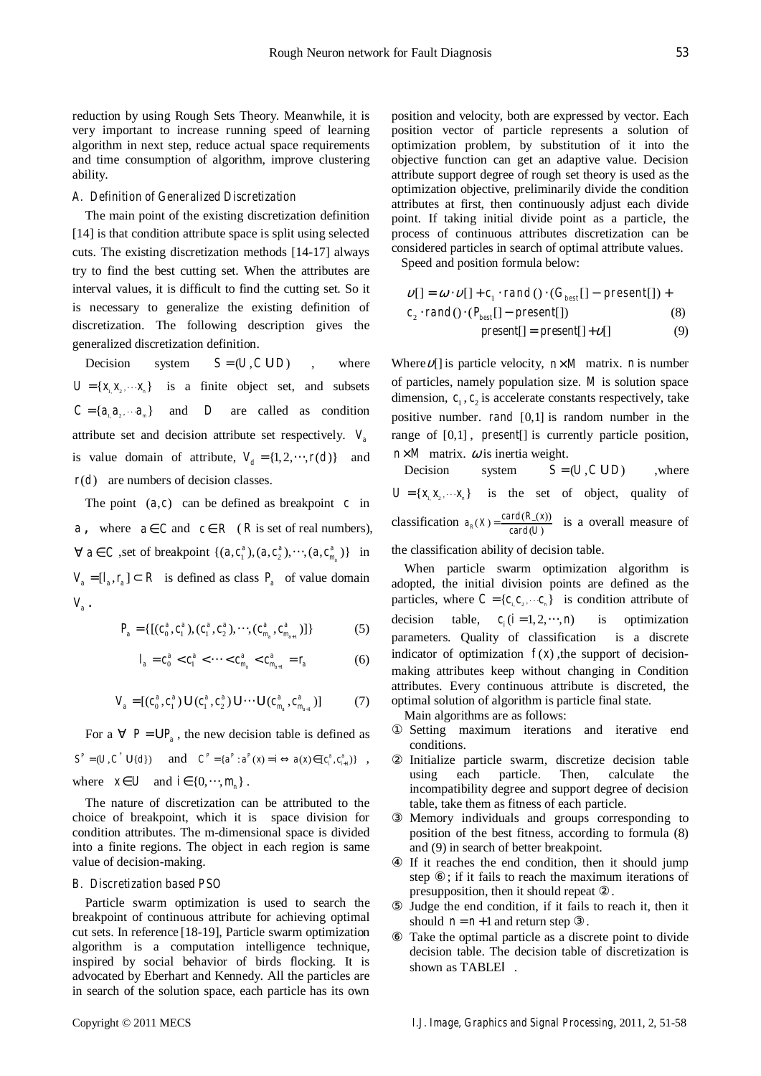reduction by using Rough Sets Theory. Meanwhile, it is very important to increase running speed of learning algorithm in next step, reduce actual space requirements and time consumption of algorithm, improve clustering ability.

# *A. Definition of Generalized Discretization*

The main point of the existing discretization definition [14] is that condition attribute space is split using selected cuts. The existing discretization methods [14-17] always try to find the best cutting set. When the attributes are interval values, it is difficult to find the cutting set. So it is necessary to generalize the existing definition of discretization. The following description gives the generalized discretization definition.

Decision system  $S = (U, C \cup D)$ , where  $U = \{x, x, \dots x\}$  is a finite object set, and subsets  $C = \{a, a_{\gamma}, \cdots a_{\mu}\}$  and *D* are called as condition attribute set and decision attribute set respectively.  $V_a$ is value domain of attribute,  $V_d = \{1, 2, \dots, r(d)\}$  and  $r(d)$  are numbers of decision classes.

The point  $(a, c)$  can be defined as breakpoint *c* in *a* , where  $a \in C$  and  $c \in R$  (*R* is set of real numbers),  $∀ a ∈ C$ , set of breakpoint { $(a, c_1^a), (a, c_2^a), \cdots, (a, c_{m_a}^a)$ } in  $V_a = [l_a, r_a] \subset R$  is defined as class  $P_a$  of value domain  $V_{a}$ .

$$
P_a = \{ [(c_0^a, c_1^a), (c_1^a, c_2^a), \cdots, (c_{m_a}^a, c_{m_{a+1}}^a)] \}
$$
(5)

$$
l_a = c_0^a < c_1^a < \dots < c_{m_a}^a < c_{m_{a+1}}^a = r_a \tag{6}
$$

$$
V_a = [(c_0^a, c_1^a) \mathbf{U} (c_1^a, c_2^a) \mathbf{U} \cdots \mathbf{U} (c_{m_a}^a, c_{m_{a+1}}^a)] \tag{7}
$$

For a  $\forall$   $P = UP_a$ , the new decision table is defined as  $S^P = (U, C^P \cup \{d\})$  and  $C^P = \{a^P : a^P(x) = i \Leftrightarrow a(x) \in [c_i^a, c_{i+1}^a] \}$ , where  $x \in U$  and  $i \in \{0, \dots, m\}$ .

The nature of discretization can be attributed to the choice of breakpoint, which it is space division for condition attributes. The m-dimensional space is divided into a finite regions. The object in each region is same value of decision-making.

## *B. Discretization based PSO*

Particle swarm optimization is used to search the breakpoint of continuous attribute for achieving optimal cut sets. In reference [18-19], Particle swarm optimization algorithm is a computation intelligence technique, inspired by social behavior of birds flocking. It is advocated by Eberhart and Kennedy. All the particles are in search of the solution space, each particle has its own position and velocity, both are expressed by vector. Each position vector of particle represents a solution of optimization problem, by substitution of it into the objective function can get an adaptive value. Decision attribute support degree of rough set theory is used as the optimization objective, preliminarily divide the condition attributes at first, then continuously adjust each divide point. If taking initial divide point as a particle, the process of continuous attributes discretization can be considered particles in search of optimal attribute values.

Speed and position formula below:

$$
v[] = \omega \cdot v[] + c_1 \cdot rand(\cdot) \cdot (G_{best}[] - present[]) + c_2 \cdot rand(\cdot) \cdot (P_{best}[] - present[]) \tag{8}
$$
  
present[] = present[] + v[] (9)

Where  $\nu$ [] is particle velocity,  $n \times M$  matrix. *n* is number of particles, namely population size. *M* is solution space dimension,  $c_1, c_2$  is accelerate constants respectively, take positive number. *rand* [0,1] is random number in the range of [0,1] , *present*[] is currently particle position,  $n \times M$  matrix.  $\omega$  is inertia weight.

Decision system  $S = (U, C \cup D)$  where  $U = \{x_1, x_2, \dots, x_n\}$  is the set of object, quality of classification  $a_R(X) = \frac{card(R_-(X))}{card(U)}$  is a overall measure of

the classification ability of decision table.

When particle swarm optimization algorithm is adopted, the initial division points are defined as the particles, where  $C = \{c_1, c_2, \dots, c_n\}$  is condition attribute of decision table,  $c_i$  ( $i = 1, 2, \dots, n$ ) is optimization parameters. Quality of classification is a discrete indicator of optimization  $f(x)$ , the support of decisionmaking attributes keep without changing in Condition attributes. Every continuous attribute is discreted, the optimal solution of algorithm is particle final state.

Main algorithms are as follows:

Setting maximum iterations and iterative end conditions.

Initialize particle swarm, discretize decision table using each particle. Then, calculate the incompatibility degree and support degree of decision table, take them as fitness of each particle.

Memory individuals and groups corresponding to position of the best fitness, according to formula (8) and (9) in search of better breakpoint.

If it reaches the end condition, then it should jump step ; if it fails to reach the maximum iterations of presupposition, then it should repeat .

Judge the end condition, if it fails to reach it, then it should  $n = n + 1$  and return step

Take the optimal particle as a discrete point to divide decision table. The decision table of discretization is shown as TABLE .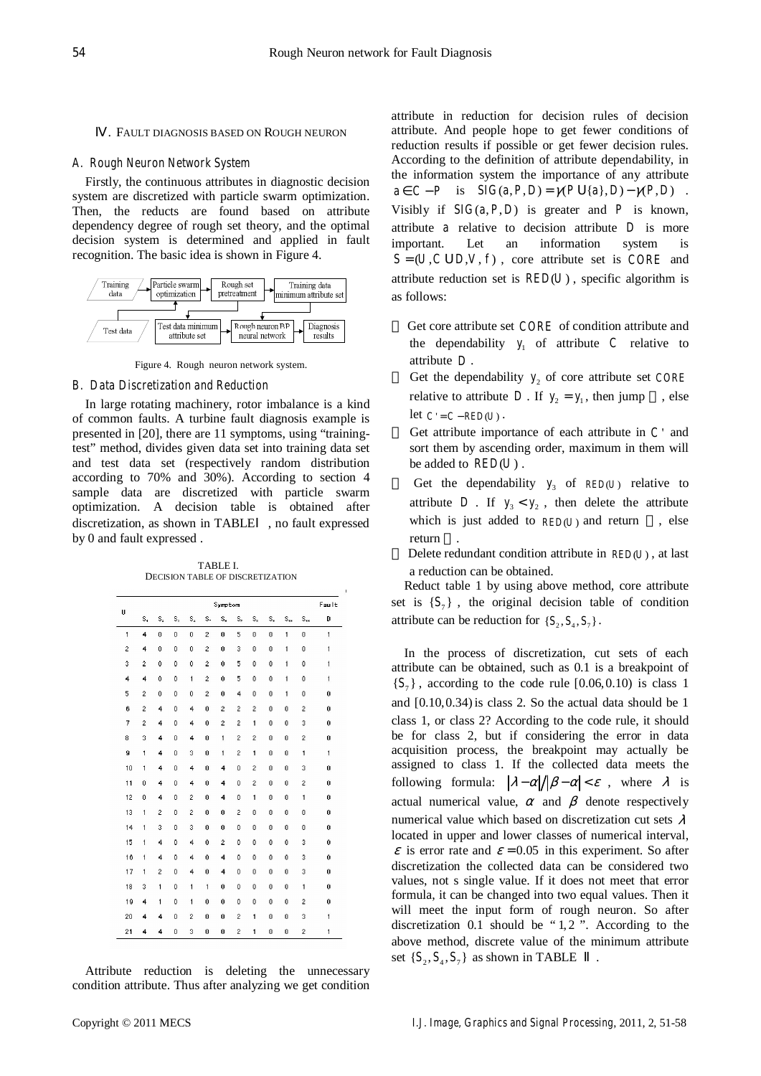## . FAULT DIAGNOSIS BASED ON ROUGH NEURON

#### *A. Rough Neuron Network System*

Firstly, the continuous attributes in diagnostic decision system are discretized with particle swarm optimization. Then, the reducts are found based on attribute dependency degree of rough set theory, and the optimal decision system is determined and applied in fault recognition. The basic idea is shown in Figure 4.



Figure 4. Rough neuron network system.

#### *B. Data Discretization and Reduction*

In large rotating machinery, rotor imbalance is a kind of common faults. A turbine fault diagnosis example is presented in [20], there are 11 symptoms, using "trainingtest" method, divides given data set into training data set and test data set (respectively random distribution according to 70% and 30%). According to section 4 sample data are discretized with particle swarm optimization. A decision table is obtained after discretization, as shown in TABLE , no fault expressed by 0 and fault expressed .

TABLE I. DECISION TABLE OF DISCRETIZATION

|                |                |              |             |                |                | Symptom        |                |                |    |              |                | Fault        |
|----------------|----------------|--------------|-------------|----------------|----------------|----------------|----------------|----------------|----|--------------|----------------|--------------|
| U              | s,             | s,           | S,          | s,             | s.             | Ś,             | s,             | s,             | s, | $S_{44}$     | $S_{44}$       | D            |
| 1              | 4              | 0            | o           | 0              | $\overline{2}$ | 0              | 5              | o              | o  | $\mathbf{1}$ | $\overline{0}$ | $\mathbf{1}$ |
| $\overline{c}$ | 4              | $\mathbf 0$  | 0           | 0              | 2              | 0              | 3              | 0              | 0  | 1            | 0              | 1            |
| 3              | 2              | 0            | 0           | 0              | $\hat{z}$      | 0              | 5              | 0              | 0  | 1            | 0              | 1            |
| 4              | 4              | 0            | 0           | $\mathbf{1}$   | 2              | 0              | 5              | Ō              | Ō  | 1            | 0              | 1            |
| 5              | 2              | $\bf{0}$     | 0           | 0              | 2              | 0              | 4              | 0              | 0  | 1            | 0              | 0            |
| 6              | $\overline{2}$ | 4            | 0           | 4              | 0              | $\overline{c}$ | 2              | 2              | 0  | 0            | $\overline{c}$ | 0            |
| 7              | $\overline{2}$ | 4            | 0           | 4              | 0              | 2              | 2              | 1              | ٥  | 0            | 3              | 0            |
| 8              | 3              | 4            | $\mathbf 0$ | 4              | $\mathbf 0$    | 1              | $\overline{2}$ | $\overline{c}$ | 0  | $\mathbf 0$  | $\overline{2}$ | $\bf{0}$     |
| 9              | 1              | 4            | 0           | 3              | 0              | 1              | 2              | 1              | 0  | 0            | 1              | 1            |
| 10             | $\mathbf{1}$   | 4            | $\bf{0}$    | 4              | 0              | 4              | 0              | 2              | 0  | $\bf{0}$     | 3              | 0            |
| 11             | $\mathbf 0$    | 4            | $\mathbf 0$ | 4              | 0              | 4              | 0              | $\overline{c}$ | 0  | 0            | 2              | 0            |
| 12             | $\bf{0}$       | 4            | 0           | $\overline{2}$ | 0              | 4              | 0              | 1              | 0  | 0            | 1              | 0            |
| 13             | 1              | 2            | 0           | 2              | 0              | 0              | 2              | 0              | 0  | 0            | 0              | 0            |
| 14             | $\mathbf{1}$   | 3            | $\mathbf 0$ | 3              | 0              | 0              | 0              | 0              | 0  | 0            | 0              | 0            |
| 15             | $\mathbf{1}$   | 4            | 0           | 4              | 0              | $\overline{2}$ | 0              | 0              | 0  | 0            | 3              | 0            |
| 16             | $\mathbf{1}$   | 4            | 0           | 4              | 0              | 4              | 0              | Ō              | Ō  | 0            | 3              | 0            |
| 17             | $\mathbf{1}$   | 2            | 0           | 4              | 0              | 4              | 0              | 0              | 0  | 0            | 3              | 0            |
| 18             | 3              | 1            | o           | 1              | 1              | 0              | 0              | o              | o  | 0            | 1              | 0            |
| 19             | 4              | $\mathbf{1}$ | 0           | 1              | 0              | 0              | 0              | 0              | 0  | 0            | $\overline{2}$ | 0            |
| 20             | 4              | 4            | 0           | $\overline{2}$ | 0              | 0              | 2              | 1              | Ō  | 0            | 3              | $\mathbf{1}$ |
| 21             | 4              | 4            | 0           | 3              | 0              | 0              | 2              | 1              | 0  | 0            | 2              | 1            |

Attribute reduction is deleting the unnecessary condition attribute. Thus after analyzing we get condition attribute in reduction for decision rules of decision attribute. And people hope to get fewer conditions of reduction results if possible or get fewer decision rules. According to the definition of attribute dependability, in the information system the importance of any attribute  $a \in C - P$  is  $SIG(a, P, D) = \gamma(P \mathbf{U}{a}, D) - \gamma(P, D)$ . Visibly if  $SIG(a, P, D)$  is greater and *P* is known, attribute *a* relative to decision attribute *D* is more important. Let an information system is  $S = (U, C \cup D, V, f)$ , core attribute set is *CORE* and attribute reduction set is  $RED(U)$ , specific algorithm is as follows:

 Get core attribute set *CORE* of condition attribute and the dependability  $y_i$  of attribute *C* relative to attribute *D* .

Get the dependability  $y_2$  of core attribute set *CORE* relative to attribute *D*. If  $y_2 = y_1$ , then jump, else let  $C' = C - RED(U)$ .

 Get attribute importance of each attribute in *C* ' and sort them by ascending order, maximum in them will be added to  $RED(U)$  .

Get the dependability  $y_3$  of  $RED(U)$  relative to attribute *D*. If  $y_3 < y_2$ , then delete the attribute which is just added to  $RED(U)$  and return, else return .

Delete redundant condition attribute in *RED(U)*, at last a reduction can be obtained.

Reduct table 1 by using above method, core attribute set is  ${S_7}$ , the original decision table of condition attribute can be reduction for  $\{S_2, S_4, S_7\}$ .

In the process of discretization, cut sets of each attribute can be obtained, such as 0.1 is a breakpoint of  $\{S_7\}$ , according to the code rule  $[0.06, 0.10)$  is class 1 and  $[0.10, 0.34)$  is class 2. So the actual data should be 1 class 1, or class 2? According to the code rule, it should be for class 2, but if considering the error in data acquisition process, the breakpoint may actually be assigned to class 1. If the collected data meets the following formula:  $|\lambda - \alpha|/|\beta - \alpha| < \varepsilon$ , where  $\lambda$  is actual numerical value,  $\alpha$  and  $\beta$  denote respectively numerical value which based on discretization cut sets  $\lambda$ located in upper and lower classes of numerical interval,  $\epsilon$  is error rate and  $\epsilon$  = 0.05 in this experiment. So after discretization the collected data can be considered two values, not s single value. If it does not meet that error formula, it can be changed into two equal values. Then it will meet the input form of rough neuron. So after discretization  $0.1$  should be " $1, 2$ ". According to the above method, discrete value of the minimum attribute set  $\{S_2, S_4, S_7\}$  as shown in TABLE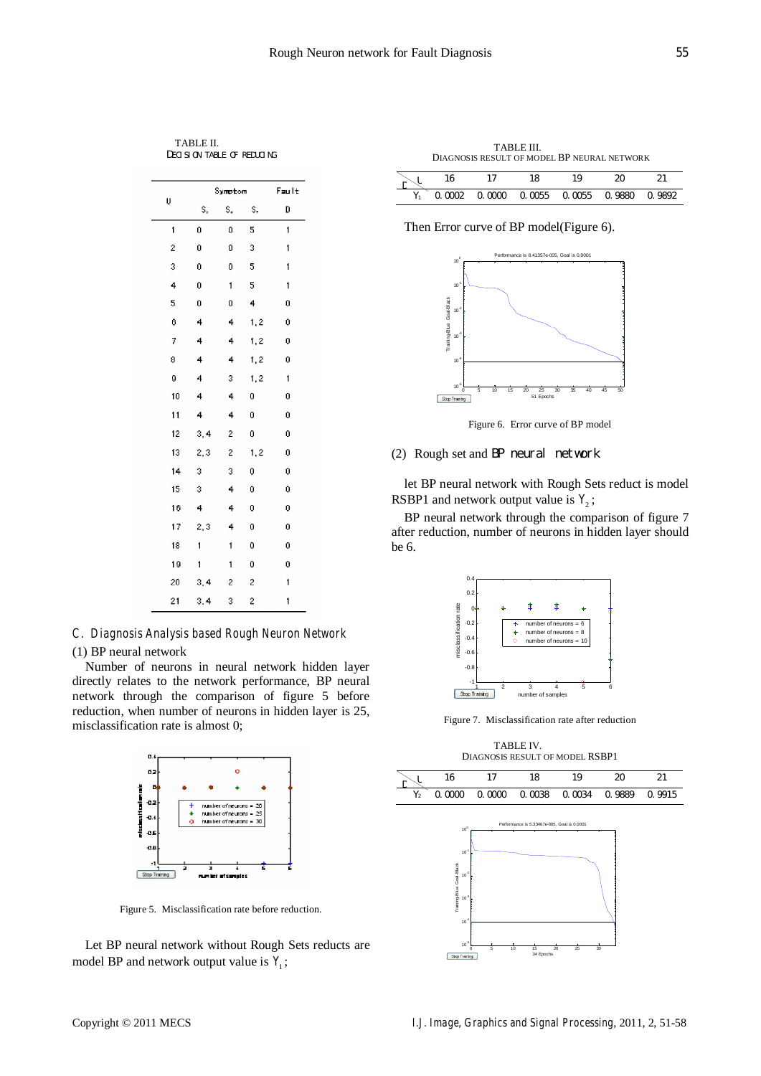TABLE II. DECISION TABLE OF REDUCING

|                | Symptom | Fault          |      |              |  |
|----------------|---------|----------------|------|--------------|--|
| U              | S,      | s,<br>S,       |      | D            |  |
| $\mathbf{1}$   | Ō       | 0              | 5    | $\mathbf{1}$ |  |
| $\overline{c}$ | 0       | 0              | 3    | 1            |  |
| 3              | 0       | 0              | 5    | 1            |  |
| 4              | Ō       | $\mathbf{1}$   | 5    | 1            |  |
| 5              | 0       | 0              | 4    | 0            |  |
| 6              | 4       | 4              | 1, 2 | 0            |  |
| 7              | 4       | 4              | 1, 2 | 0            |  |
| 8              | 4       | 4              | 1, 2 | 0            |  |
| g              | 4       | 3              | 1, 2 | 1            |  |
| 10             | 4       | 4              | 0    | 0            |  |
| 11             | 4       | 4              | 0    | 0            |  |
| 12             | 3,4     | $\overline{c}$ | 0    | 0            |  |
| 13             | 2,3     | 2              | 1, 2 | 0            |  |
| 14             | 3       | 3              | 0    | Ŏ            |  |
| 15             | 3       | 4              | 0    | 0            |  |
| 16             | 4       | 4              | 0    | 0            |  |
| 17             | 2, 3    | 4              | 0    | 0            |  |
| 18             | 1       | 1              | 0    | 0            |  |
| 19             | 1       | 1              | 0    | 0            |  |
| 20             | 3,4     | 2              | 2    | 1            |  |
| 21             | 3,4     | 3              | 2    | 1            |  |

*C. Diagnosis Analysis based Rough Neuron Network* 

# (1) BP neural network

Number of neurons in neural network hidden layer directly relates to the network performance, BP neural network through the comparison of figure 5 before reduction, when number of neurons in hidden layer is 25, misclassification rate is almost 0;



Figure 5. Misclassification rate before reduction.

Let BP neural network without Rough Sets reducts are model BP and network output value is  $Y_1$ ;

TABLE III. DIAGNOSIS RESULT OF MODEL BP NEURAL NETWORK

|  |                                           | ıο |  |
|--|-------------------------------------------|----|--|
|  | 0.0002 0.0000 0.0055 0.0055 0.9880 0.9892 |    |  |

Then Error curve of BP model(Figure 6).



Figure 6. Error curve of BP model

# (2) Rough set and BP neural network

let BP neural network with Rough Sets reduct is model RSBP1 and network output value is  $Y_2$ ;

BP neural network through the comparison of figure 7 after reduction, number of neurons in hidden layer should be 6.



Figure 7. Misclassification rate after reduction

TABLE IV. DIAGNOSIS RESULT OF MODEL RSBP1



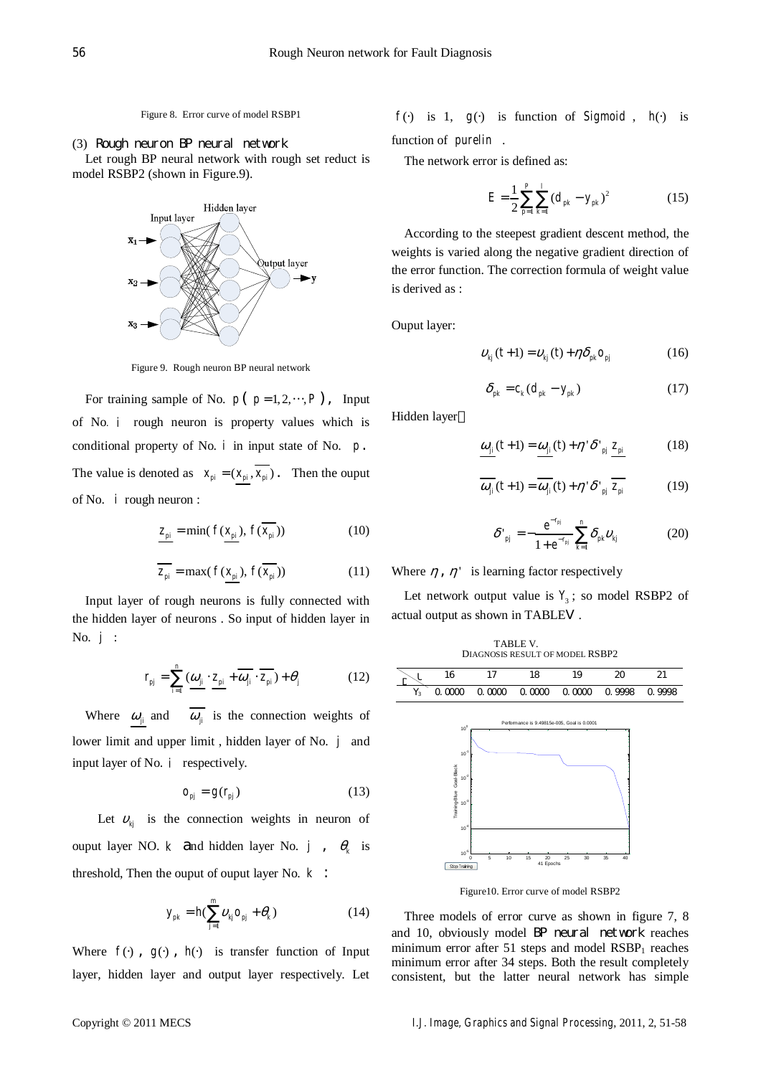Figure 8. Error curve of model RSBP1

(3) Rough neuron BP neural network

Let rough BP neural network with rough set reduct is model RSBP2 (shown in Figure.9).



Figure 9. Rough neuron BP neural network

For training sample of No.  $p(p=1,2,\dots,P)$ , Input of No. *i* rough neuron is property values which is conditional property of No. *i* in input state of No. *p*. The value is denoted as  $x_{pi} = (x_{pi}, \overline{x_{pi}})$ . Then the ouput of No. *i* rough neuron :

$$
\underline{z_{pi}} = \min(f(\underline{x_{pi}}), f(\overline{x_{pi}}))
$$
\n(10)

$$
\overline{z_{pi}} = \max(f(\underline{x_{pi}}), f(\overline{x_{pi}}))
$$
\n(11)

Input layer of rough neurons is fully connected with the hidden layer of neurons . So input of hidden layer in No. *j* :

$$
r_{pj} = \sum_{i=1}^{n} \left( \underline{\omega}_{ji} \cdot \underline{z}_{pi} + \overline{\omega}_{ji} \cdot \overline{z}_{pi} \right) + \theta_{j}
$$
 (12)

Where  $\omega_{ji}$  and  $\overline{\omega_{ji}}$  is the connection weights of lower limit and upper limit , hidden layer of No. *j* and input layer of No. *i* respectively.

$$
o_{pj} = g(r_{pj})
$$
 (13)

Let  $v_{ki}$  is the connection weights in neuron of ouput layer NO. *k* and hidden layer No. *j* ,  $\theta_k$  is threshold, Then the ouput of ouput layer No. *k* :

$$
y_{pk} = h(\sum_{j=1}^{m} v_{kj} o_{pj} + \theta_k)
$$
 (14)

Where  $f()$ ,  $g()$ ,  $h()$  is transfer function of Input layer, hidden layer and output layer respectively. Let

 $f(\cdot)$  is 1,  $g(\cdot)$  is function of *Sigmoid*,  $h(\cdot)$  is function of *purelin* .

The network error is defined as:

$$
E = \frac{1}{2} \sum_{p=1}^{P} \sum_{k=1}^{l} (d_{pk} - y_{pk})^2
$$
 (15)

According to the steepest gradient descent method, the weights is varied along the negative gradient direction of the error function. The correction formula of weight value is derived as :

Ouput layer:

$$
v_{kj}(t+1) = v_{kj}(t) + \eta \delta_{pk} o_{pj} \tag{16}
$$

$$
\delta_{pk} = c_k (d_{pk} - y_{pk})
$$
\n(17)

Hidden layer

$$
\underline{\omega}_{ji}(t+1) = \underline{\omega}_{ji}(t) + \eta' \delta'_{pj} z_{pi}
$$
 (18)

$$
\overline{\omega_{ji}}(t+1) = \overline{\omega_{ji}}(t) + \eta' \delta'_{pj} \overline{z_{pi}}
$$
 (19)

$$
\delta^{\prime}_{\ \, pj} = -\frac{e^{-r_{pj}}}{1 + e^{-r_{pj}}} \sum_{k=1}^{n} \delta_{pk} v_{kj} \tag{20}
$$

Where  $\eta$ ,  $\eta'$  is learning factor respectively

TABLE V.

Let network output value is  $Y_3$ ; so model RSBP2 of actual output as shown in TABLE .



Figure10. Error curve of model RSBP2

Three models of error curve as shown in figure 7, 8 and 10, obviously model BP neural network reaches minimum error after 51 steps and model  $RSBP<sub>1</sub>$  reaches minimum error after 34 steps. Both the result completely consistent, but the latter neural network has simple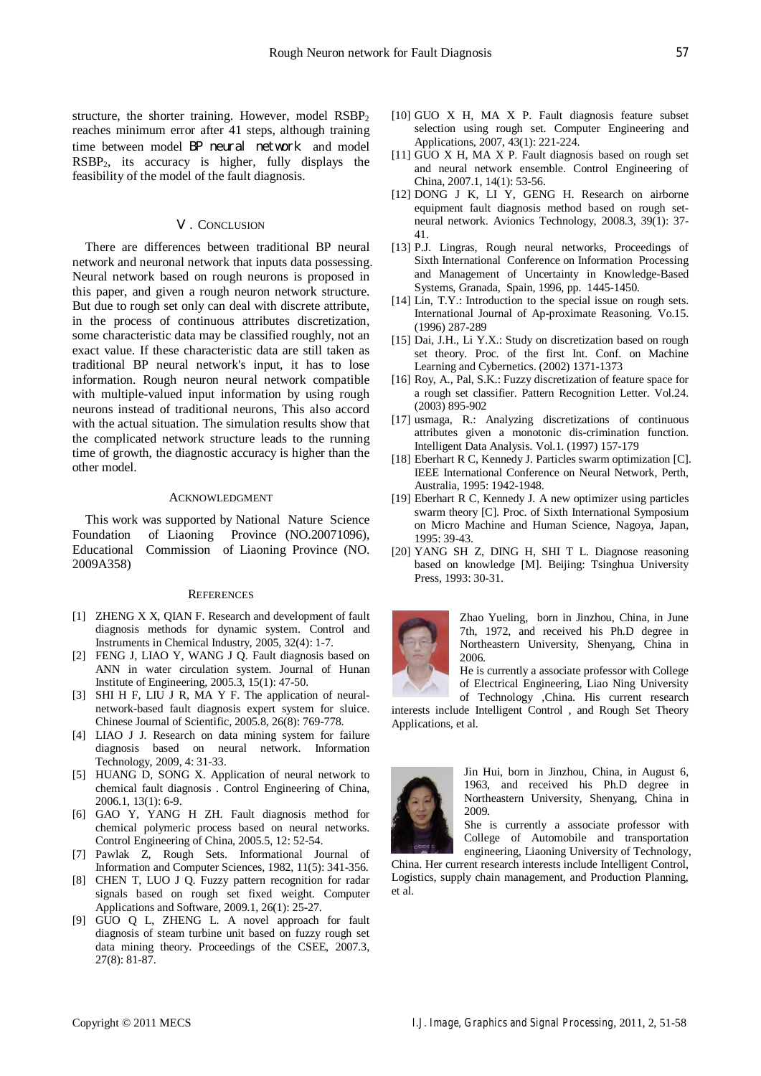#### . CONCLUSION

There are differences between traditional BP neural network and neuronal network that inputs data possessing. Neural network based on rough neurons is proposed in this paper, and given a rough neuron network structure. But due to rough set only can deal with discrete attribute, in the process of continuous attributes discretization, some characteristic data may be classified roughly, not an exact value. If these characteristic data are still taken as traditional BP neural network's input, it has to lose information. Rough neuron neural network compatible with multiple-valued input information by using rough neurons instead of traditional neurons, This also accord with the actual situation. The simulation results show that the complicated network structure leads to the running time of growth, the diagnostic accuracy is higher than the other model.

## ACKNOWLEDGMENT

This work was supported by National Nature Science Foundation of Liaoning Province (NO.20071096), Educational Commission of Liaoning Province (NO. 2009A358)

#### **REFERENCES**

- [1] ZHENG X X, QIAN F. Research and development of fault diagnosis methods for dynamic system. Control and Instruments in Chemical Industry, 2005, 32(4): 1-7.
- [2] FENG J, LIAO Y, WANG J Q. Fault diagnosis based on ANN in water circulation system. Journal of Hunan Institute of Engineering, 2005.3, 15(1): 47-50.
- [3] SHI H F, LIU J R, MA Y F. The application of neuralnetwork-based fault diagnosis expert system for sluice. Chinese Journal of Scientific, 2005.8, 26(8): 769-778.
- [4] LIAO J J. Research on data mining system for failure diagnosis based on neural network. Information Technology, 2009, 4: 31-33.
- [5] HUANG D, SONG X. Application of neural network to chemical fault diagnosis . Control Engineering of China, 2006.1, 13(1): 6-9.
- [6] GAO Y, YANG H ZH. Fault diagnosis method for chemical polymeric process based on neural networks. Control Engineering of China, 2005.5, 12: 52-54.
- [7] Pawlak Z, Rough Sets. Informational Journal of Information and Computer Sciences, 1982, 11(5): 341-356.
- [8] CHEN T, LUO J Q. Fuzzy pattern recognition for radar signals based on rough set fixed weight. Computer Applications and Software, 2009.1, 26(1): 25-27.
- [9] GUO Q L, ZHENG L. A novel approach for fault diagnosis of steam turbine unit based on fuzzy rough set data mining theory. Proceedings of the CSEE, 2007.3, 27(8): 81-87.
- [10] GUO X H, MA X P. Fault diagnosis feature subset selection using rough set. Computer Engineering and Applications, 2007, 43(1): 221-224.
- [11] GUO X H, MA X P. Fault diagnosis based on rough set and neural network ensemble. Control Engineering of China, 2007.1, 14(1): 53-56.
- [12] DONG J K, LI Y, GENG H. Research on airborne equipment fault diagnosis method based on rough setneural network. Avionics Technology, 2008.3, 39(1): 37- 41.
- [13] P.J. Lingras, Rough neural networks, Proceedings of Sixth International Conference on Information Processing and Management of Uncertainty in Knowledge-Based Systems, Granada, Spain, 1996, pp. 1445-1450.
- [14] Lin, T.Y.: Introduction to the special issue on rough sets. International Journal of Ap-proximate Reasoning. Vo.15. (1996) 287-289
- [15] Dai, J.H., Li Y.X.: Study on discretization based on rough set theory. Proc. of the first Int. Conf. on Machine Learning and Cybernetics. (2002) 1371-1373
- [16] Roy, A., Pal, S.K.: Fuzzy discretization of feature space for a rough set classifier. Pattern Recognition Letter. Vol.24. (2003) 895-902
- [17] usmaga, R.: Analyzing discretizations of continuous attributes given a monotonic dis-crimination function. Intelligent Data Analysis. Vol.1. (1997) 157-179
- [18] Eberhart R C, Kennedy J. Particles swarm optimization [C]. IEEE International Conference on Neural Network, Perth, Australia, 1995: 1942-1948.
- [19] Eberhart R C, Kennedy J. A new optimizer using particles swarm theory [C]. Proc. of Sixth International Symposium on Micro Machine and Human Science, Nagoya, Japan, 1995: 39-43.
- [20] YANG SH Z, DING H, SHI T L. Diagnose reasoning based on knowledge [M]. Beijing: Tsinghua University Press, 1993: 30-31.



Zhao Yueling, born in Jinzhou, China, in June 7th, 1972, and received his Ph.D degree in Northeastern University, Shenyang, China in 2006.

He is currently a associate professor with College of Electrical Engineering, Liao Ning University

of Technology ,China. His current research interests include Intelligent Control , and Rough Set Theory Applications, et al.



Jin Hui, born in Jinzhou, China, in August 6, 1963, and received his Ph.D degree in Northeastern University, Shenyang, China in 2009.

She is currently a associate professor with College of Automobile and transportation engineering, Liaoning University of Technology,

China. Her current research interests include Intelligent Control, Logistics, supply chain management, and Production Planning, et al.